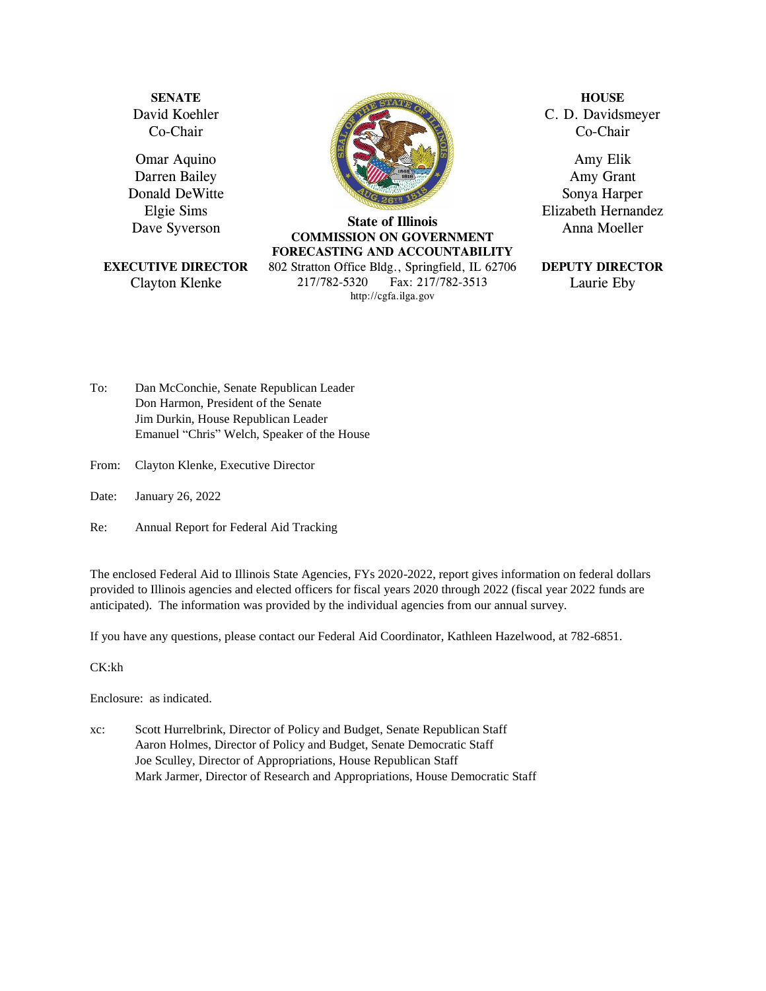**SENATE** David Koehler Co-Chair

Omar Aquino Darren Bailey Donald DeWitte Elgie Sims Dave Syverson

**EXECUTIVE DIRECTOR** Clayton Klenke



**State of Illinois COMMISSION ON GOVERNMENT FORECASTING AND ACCOUNTABILITY** 802 Stratton Office Bldg., Springfield, IL 62706 217/782-5320 Fax: 217/782-3513 [http://cgfa.ilga.gov](http://cgfa.ilga.gov/)

**HOUSE** C. D. Davidsmeyer Co-Chair

Amy Elik Amy Grant Sonya Harper Elizabeth Hernandez Anna Moeller

#### **DEPUTY DIRECTOR** Laurie Eby

To: Dan McConchie, Senate Republican Leader Don Harmon, President of the Senate Jim Durkin, House Republican Leader Emanuel "Chris" Welch, Speaker of the House

- From: Clayton Klenke, Executive Director
- Date: January 26, 2022
- Re: Annual Report for Federal Aid Tracking

The enclosed Federal Aid to Illinois State Agencies, FYs 2020-2022, report gives information on federal dollars provided to Illinois agencies and elected officers for fiscal years 2020 through 2022 (fiscal year 2022 funds are anticipated). The information was provided by the individual agencies from our annual survey.

If you have any questions, please contact our Federal Aid Coordinator, Kathleen Hazelwood, at 782-6851.

CK:kh

Enclosure: as indicated.

xc: Scott Hurrelbrink, Director of Policy and Budget, Senate Republican Staff Aaron Holmes, Director of Policy and Budget, Senate Democratic Staff Joe Sculley, Director of Appropriations, House Republican Staff Mark Jarmer, Director of Research and Appropriations, House Democratic Staff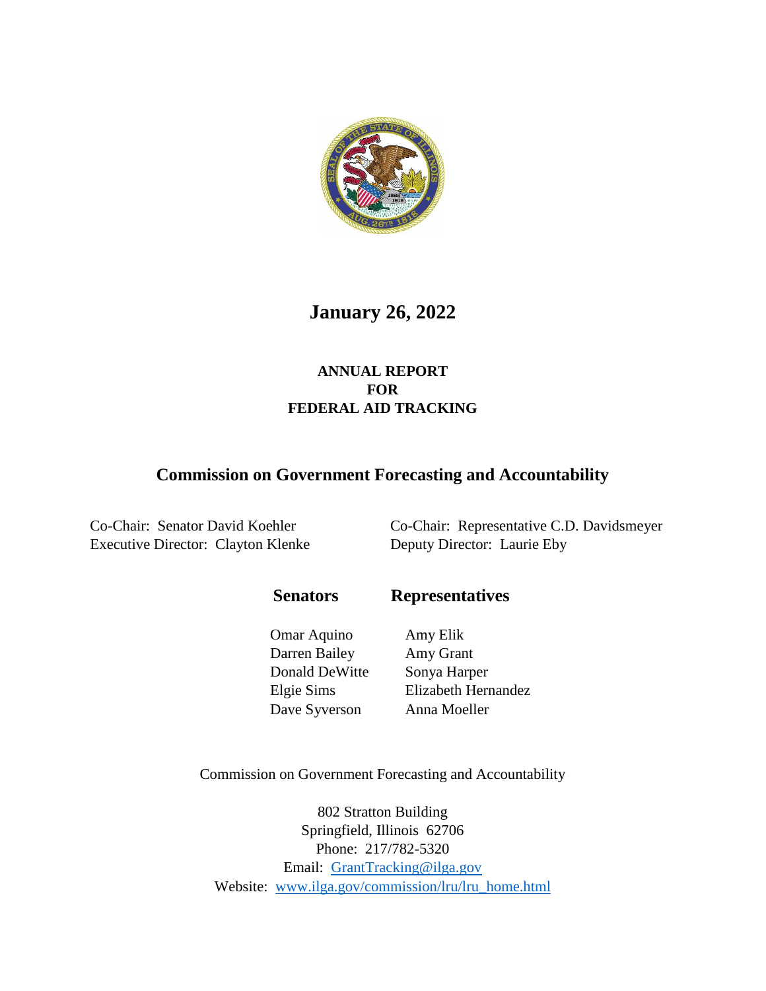

# **January 26, 2022**

### **ANNUAL REPORT FOR FEDERAL AID TRACKING**

## **Commission on Government Forecasting and Accountability**

Executive Director: Clayton Klenke Deputy Director: Laurie Eby

Co-Chair: Senator David Koehler Co-Chair: Representative C.D. Davidsmeyer

 **Senators Representatives**

Omar Aquino Amy Elik Darren Bailey Amy Grant Donald DeWitte Sonya Harper Dave Syverson Anna Moeller

Elgie Sims Elizabeth Hernandez

Commission on Government Forecasting and Accountability

802 Stratton Building Springfield, Illinois 62706 Phone: 217/782-5320 Email: [GrantTracking@ilga.gov](mailto:GrantTracking@ilga.gov) Website: [www.ilga.gov/commission/lru/lru\\_home.html](http://www.ilga.gov/commission/lru/lru_home.html)